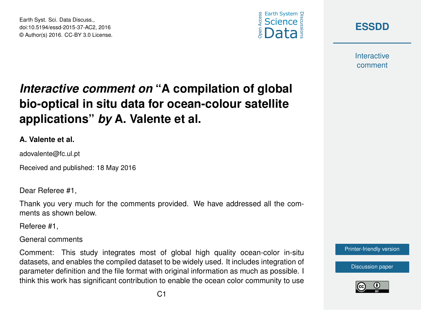Earth Syst. Sci. Data Discuss., doi:10.5194/essd-2015-37-AC2, 2016 © Author(s) 2016. CC-BY 3.0 License.





**Interactive** comment

## *Interactive comment on* **"A compilation of global bio-optical in situ data for ocean-colour satellite applications"** *by* **A. Valente et al.**

## **A. Valente et al.**

adovalente@fc.ul.pt

Received and published: 18 May 2016

Dear Referee #1,

Thank you very much for the comments provided. We have addressed all the comments as shown below.

Referee #1,

General comments

Comment: This study integrates most of global high quality ocean-color in-situ datasets, and enables the compiled dataset to be widely used. It includes integration of parameter definition and the file format with original information as much as possible. I think this work has significant contribution to enable the ocean color community to use



[Discussion paper](http://www.earth-syst-sci-data-discuss.net/essd-2015-37)